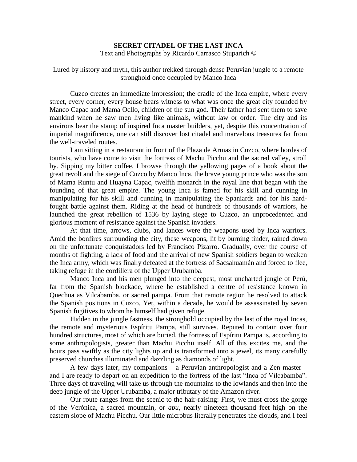## **SECRET CITADEL OF THE LAST INCA**

Text and Photographs by Ricardo Carrasco Stuparich ©

Lured by history and myth, this author trekked through dense Peruvian jungle to a remote stronghold once occupied by Manco Inca

Cuzco creates an immediate impression; the cradle of the Inca empire, where every street, every corner, every house bears witness to what was once the great city founded by Manco Capac and Mama Ocllo, children of the sun god. Their father had sent them to save mankind when he saw men living like animals, without law or order. The city and its environs bear the stamp of inspired Inca master builders, yet, despite this concentration of imperial magnificence, one can still discover lost citadel and marvelous treasures far from the well-traveled routes.

I am sitting in a restaurant in front of the Plaza de Armas in Cuzco, where hordes of tourists, who have come to visit the fortress of Machu Picchu and the sacred valley, stroll by. Sipping my bitter coffee, I browse through the yellowing pages of a book about the great revolt and the siege of Cuzco by Manco Inca, the brave young prince who was the son of Mama Runtu and Huayna Capac, twelfth monarch in the royal line that began with the founding of that great empire. The young Inca is famed for his skill and cunning in manipulating for his skill and cunning in manipulating the Spaniards and for his hardfought battle against them. Riding at the head of hundreds of thousands of warriors, he launched the great rebellion of 1536 by laying siege to Cuzco, an unprocedented and glorious moment of resistance against the Spanish invaders.

At that time, arrows, clubs, and lances were the weapons used by Inca warriors. Amid the bonfires surrounding the city, these weapons, lit by burning tinder, rained down on the unfortunate conquistadors led by Francisco Pizarro. Gradually, over the course of months of fighting, a lack of food and the arrival of new Spanish soldiers began to weaken the Inca army, which was finally defeated at the fortress of Sacsahuamán and forced to flee, taking refuge in the cordillera of the Upper Urubamba.

Manco Inca and his men plunged into the deepest, most uncharted jungle of Perú, far from the Spanish blockade, where he established a centre of resistance known in Quechua as Vilcabamba, or sacred pampa. From that remote region he resolved to attack the Spanish positions in Cuzco. Yet, within a decade, he would be assassinated by seven Spanish fugitives to whom he himself had given refuge.

Hidden in the jungle fastness, the stronghold occupied by the last of the royal Incas, the remote and mysterious Espíritu Pampa, still survives. Reputed to contain over four hundred structures, most of which are buried, the fortress of Espíritu Pampa is, according to some anthropologists, greater than Machu Picchu itself. All of this excites me, and the hours pass swiftly as the city lights up and is transformed into a jewel, its many carefully preserved churches illuminated and dazzling as diamonds of light.

A few days later, my companions – a Peruvian anthropologist and a Zen master – and I are ready to depart on an expedition to the fortress of the last "Inca of Vilcabamba". Three days of traveling will take us through the mountains to the lowlands and then into the deep jungle of the Upper Urubamba, a major tributary of the Amazon river.

Our route ranges from the scenic to the hair-raising: First, we must cross the gorge of the Verónica, a sacred mountain, or *apu*, nearly nineteen thousand feet high on the eastern slope of Machu Picchu. Our little microbus literally penetrates the clouds, and I feel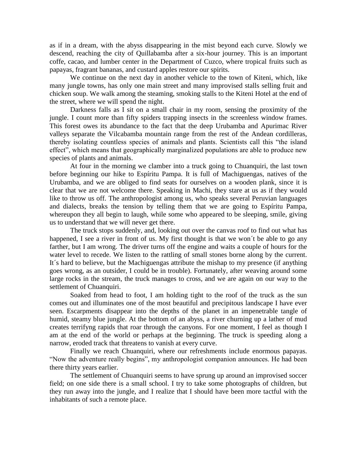as if in a dream, with the abyss disappearing in the mist beyond each curve. Slowly we descend, reaching the city of Quillabamba after a six-hour journey. This is an important coffe, cacao, and lumber center in the Department of Cuzco, where tropical fruits such as papayas, fragrant bananas, and custard apples restore our spirits.

We continue on the next day in another vehicle to the town of Kiteni, which, like many jungle towns, has only one main street and many improvised stalls selling fruit and chicken soup. We walk among the steaming, smoking stalls to the Kiteni Hotel at the end of the street, where we will spend the night.

Darkness falls as I sit on a small chair in my room, sensing the proximity of the jungle. I count more than fifty spiders trapping insects in the screenless window frames. This forest owes its abundance to the fact that the deep Urubamba and Apurimac River valleys separate the Vilcabamba mountain range from the rest of the Andean cordilleras, thereby isolating countless species of animals and plants. Scientists call this "the island effect", which means that geographically marginalized populations are able to produce new species of plants and animals.

At four in the morning we clamber into a truck going to Chuanquiri, the last town before beginning our hike to Espíritu Pampa. It is full of Machiguengas, natives of the Urubamba, and we are obliged to find seats for ourselves on a wooden plank, since it is clear that we are not welcome there. Speaking in Machi, they stare at us as if they would like to throw us off. The anthropologist among us, who speaks several Peruvian languages and dialects, breaks the tension by telling them that we are going to Espíritu Pampa, whereupon they all begin to laugh, while some who appeared to be sleeping, smile, giving us to understand that we will never get there.

The truck stops suddenly, and, looking out over the canvas roof to find out what has happened, I see a river in front of us. My first thought is that we won't be able to go any farther, but I am wrong. The driver turns off the engine and waits a couple of hours for the water level to recede. We listen to the rattling of small stones borne along by the current. It´s hard to believe, but the Machiguengas attribute the mishap to my presence (if anything goes wrong, as an outsider, I could be in trouble). Fortunately, after weaving around some large rocks in the stream, the truck manages to cross, and we are again on our way to the settlement of Chuanquiri.

Soaked from head to foot, I am holding tight to the roof of the truck as the sun comes out and illuminates one of the most beautiful and precipitous landscape I have ever seen. Escarpments disappear into the depths of the planet in an impenetrable tangle of humid, steamy blue jungle. At the bottom of an abyss, a river churning up a lather of mud creates terrifyng rapids that roar through the canyons. For one moment, I feel as though I am at the end of the world or perhaps at the beginning. The truck is speeding along a narrow, eroded track that threatens to vanish at every curve.

Finally we reach Chuanquiri, where our refreshments include enormous papayas. "Now the adventure really begins", my anthropologist companion announces. He had been there thirty years earlier.

The settlement of Chuanquiri seems to have sprung up around an improvised soccer field; on one side there is a small school. I try to take some photographs of children, but they run away into the jungle, and I realize that I should have been more tactful with the inhabitants of such a remote place.